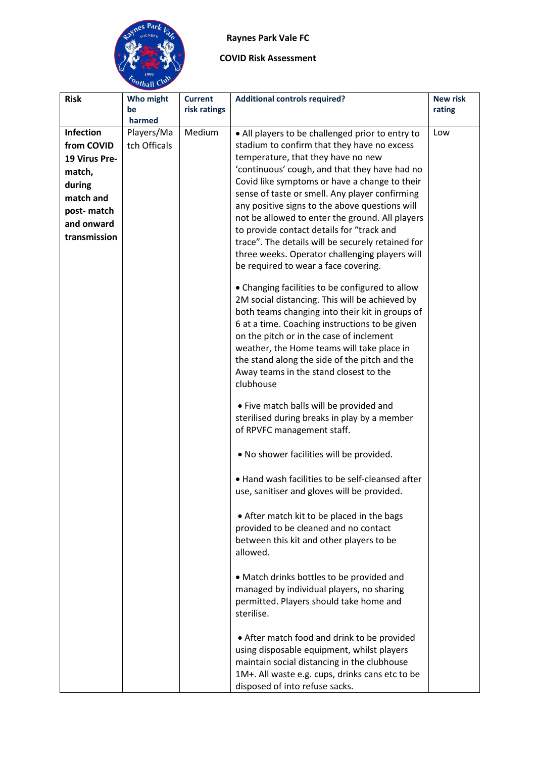## **Raynes Park Vale FC**



| <b>Risk</b>              | Who might<br>be<br>harmed  | <b>Current</b><br>risk ratings | <b>Additional controls required?</b>                                                                                                                                                                                                                                                                                                                                                                                                                                                                                                                                                                                              | <b>New risk</b><br>rating |
|--------------------------|----------------------------|--------------------------------|-----------------------------------------------------------------------------------------------------------------------------------------------------------------------------------------------------------------------------------------------------------------------------------------------------------------------------------------------------------------------------------------------------------------------------------------------------------------------------------------------------------------------------------------------------------------------------------------------------------------------------------|---------------------------|
| Infection<br>from COVID  | Players/Ma<br>tch Officals | Medium                         | • All players to be challenged prior to entry to<br>stadium to confirm that they have no excess                                                                                                                                                                                                                                                                                                                                                                                                                                                                                                                                   | Low                       |
| 19 Virus Pre-            |                            |                                | temperature, that they have no new                                                                                                                                                                                                                                                                                                                                                                                                                                                                                                                                                                                                |                           |
|                          |                            |                                | 'continuous' cough, and that they have had no                                                                                                                                                                                                                                                                                                                                                                                                                                                                                                                                                                                     |                           |
| match,                   |                            |                                | Covid like symptoms or have a change to their                                                                                                                                                                                                                                                                                                                                                                                                                                                                                                                                                                                     |                           |
| during<br>match and      |                            |                                | sense of taste or smell. Any player confirming                                                                                                                                                                                                                                                                                                                                                                                                                                                                                                                                                                                    |                           |
|                          |                            |                                | any positive signs to the above questions will                                                                                                                                                                                                                                                                                                                                                                                                                                                                                                                                                                                    |                           |
| post-match<br>and onward |                            |                                | not be allowed to enter the ground. All players                                                                                                                                                                                                                                                                                                                                                                                                                                                                                                                                                                                   |                           |
| transmission             |                            |                                | to provide contact details for "track and                                                                                                                                                                                                                                                                                                                                                                                                                                                                                                                                                                                         |                           |
|                          |                            |                                | trace". The details will be securely retained for                                                                                                                                                                                                                                                                                                                                                                                                                                                                                                                                                                                 |                           |
|                          |                            |                                | three weeks. Operator challenging players will                                                                                                                                                                                                                                                                                                                                                                                                                                                                                                                                                                                    |                           |
|                          |                            |                                | be required to wear a face covering.                                                                                                                                                                                                                                                                                                                                                                                                                                                                                                                                                                                              |                           |
|                          |                            |                                | • Changing facilities to be configured to allow<br>2M social distancing. This will be achieved by<br>both teams changing into their kit in groups of<br>6 at a time. Coaching instructions to be given<br>on the pitch or in the case of inclement<br>weather, the Home teams will take place in<br>the stand along the side of the pitch and the<br>Away teams in the stand closest to the<br>clubhouse<br>• Five match balls will be provided and<br>sterilised during breaks in play by a member<br>of RPVFC management staff.<br>. No shower facilities will be provided.<br>. Hand wash facilities to be self-cleansed after |                           |
|                          |                            |                                | use, sanitiser and gloves will be provided.                                                                                                                                                                                                                                                                                                                                                                                                                                                                                                                                                                                       |                           |
|                          |                            |                                | • After match kit to be placed in the bags<br>provided to be cleaned and no contact<br>between this kit and other players to be<br>allowed.                                                                                                                                                                                                                                                                                                                                                                                                                                                                                       |                           |
|                          |                            |                                | • Match drinks bottles to be provided and<br>managed by individual players, no sharing<br>permitted. Players should take home and<br>sterilise.                                                                                                                                                                                                                                                                                                                                                                                                                                                                                   |                           |
|                          |                            |                                | • After match food and drink to be provided<br>using disposable equipment, whilst players<br>maintain social distancing in the clubhouse<br>1M+. All waste e.g. cups, drinks cans etc to be<br>disposed of into refuse sacks.                                                                                                                                                                                                                                                                                                                                                                                                     |                           |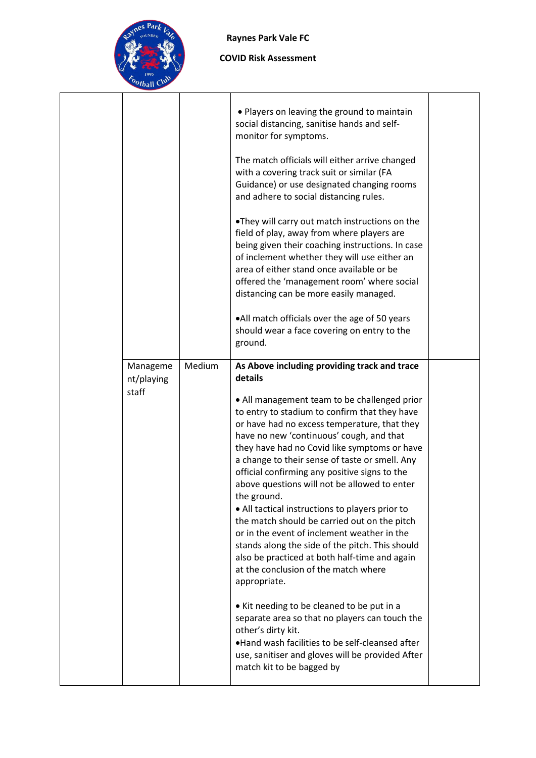

## **Raynes Park Vale FC**

|                                 |        | • Players on leaving the ground to maintain<br>social distancing, sanitise hands and self-<br>monitor for symptoms.<br>The match officials will either arrive changed<br>with a covering track suit or similar (FA<br>Guidance) or use designated changing rooms<br>and adhere to social distancing rules.<br>. They will carry out match instructions on the<br>field of play, away from where players are<br>being given their coaching instructions. In case<br>of inclement whether they will use either an<br>area of either stand once available or be<br>offered the 'management room' where social<br>distancing can be more easily managed.<br>.All match officials over the age of 50 years<br>should wear a face covering on entry to the<br>ground.                                                                                                                      |  |
|---------------------------------|--------|--------------------------------------------------------------------------------------------------------------------------------------------------------------------------------------------------------------------------------------------------------------------------------------------------------------------------------------------------------------------------------------------------------------------------------------------------------------------------------------------------------------------------------------------------------------------------------------------------------------------------------------------------------------------------------------------------------------------------------------------------------------------------------------------------------------------------------------------------------------------------------------|--|
| Manageme<br>nt/playing<br>staff | Medium | As Above including providing track and trace<br>details<br>• All management team to be challenged prior<br>to entry to stadium to confirm that they have<br>or have had no excess temperature, that they<br>have no new 'continuous' cough, and that<br>they have had no Covid like symptoms or have<br>a change to their sense of taste or smell. Any<br>official confirming any positive signs to the<br>above questions will not be allowed to enter<br>the ground.<br>• All tactical instructions to players prior to<br>the match should be carried out on the pitch<br>or in the event of inclement weather in the<br>stands along the side of the pitch. This should<br>also be practiced at both half-time and again<br>at the conclusion of the match where<br>appropriate.<br>• Kit needing to be cleaned to be put in a<br>separate area so that no players can touch the |  |
|                                 |        | other's dirty kit.<br>.Hand wash facilities to be self-cleansed after<br>use, sanitiser and gloves will be provided After<br>match kit to be bagged by                                                                                                                                                                                                                                                                                                                                                                                                                                                                                                                                                                                                                                                                                                                               |  |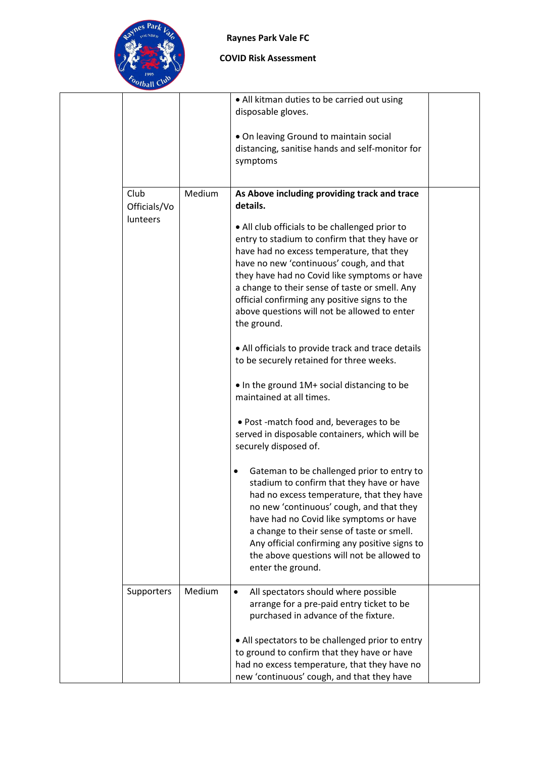

### **Raynes Park Vale FC**

|                                  |        | • All kitman duties to be carried out using<br>disposable gloves.                                                                                                                                                                                                                                                                                                                                                                                                                                                                                                                                                                                                                                                                                                                                                                                                                                                                                                                                                                                                                                                                                     |  |
|----------------------------------|--------|-------------------------------------------------------------------------------------------------------------------------------------------------------------------------------------------------------------------------------------------------------------------------------------------------------------------------------------------------------------------------------------------------------------------------------------------------------------------------------------------------------------------------------------------------------------------------------------------------------------------------------------------------------------------------------------------------------------------------------------------------------------------------------------------------------------------------------------------------------------------------------------------------------------------------------------------------------------------------------------------------------------------------------------------------------------------------------------------------------------------------------------------------------|--|
|                                  |        | . On leaving Ground to maintain social<br>distancing, sanitise hands and self-monitor for<br>symptoms                                                                                                                                                                                                                                                                                                                                                                                                                                                                                                                                                                                                                                                                                                                                                                                                                                                                                                                                                                                                                                                 |  |
| Club<br>Officials/Vo<br>lunteers | Medium | As Above including providing track and trace<br>details.<br>• All club officials to be challenged prior to<br>entry to stadium to confirm that they have or<br>have had no excess temperature, that they<br>have no new 'continuous' cough, and that<br>they have had no Covid like symptoms or have<br>a change to their sense of taste or smell. Any<br>official confirming any positive signs to the<br>above questions will not be allowed to enter<br>the ground.<br>• All officials to provide track and trace details<br>to be securely retained for three weeks.<br>• In the ground 1M+ social distancing to be<br>maintained at all times.<br>. Post -match food and, beverages to be<br>served in disposable containers, which will be<br>securely disposed of.<br>Gateman to be challenged prior to entry to<br>stadium to confirm that they have or have<br>had no excess temperature, that they have<br>no new 'continuous' cough, and that they<br>have had no Covid like symptoms or have<br>a change to their sense of taste or smell.<br>Any official confirming any positive signs to<br>the above questions will not be allowed to |  |
| Supporters                       | Medium | enter the ground.<br>All spectators should where possible<br>$\bullet$<br>arrange for a pre-paid entry ticket to be<br>purchased in advance of the fixture.                                                                                                                                                                                                                                                                                                                                                                                                                                                                                                                                                                                                                                                                                                                                                                                                                                                                                                                                                                                           |  |
|                                  |        | • All spectators to be challenged prior to entry<br>to ground to confirm that they have or have<br>had no excess temperature, that they have no<br>new 'continuous' cough, and that they have                                                                                                                                                                                                                                                                                                                                                                                                                                                                                                                                                                                                                                                                                                                                                                                                                                                                                                                                                         |  |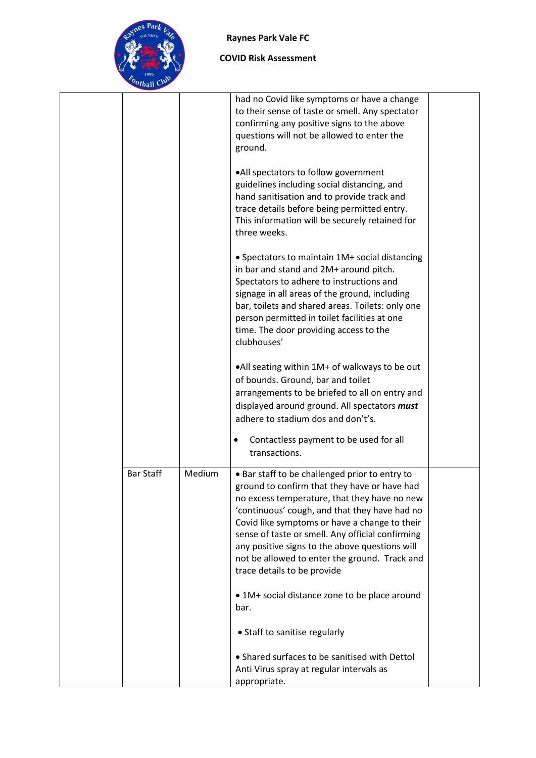

|                  |        | had no Covid like symptoms or have a change<br>to their sense of taste or smell. Any spectator<br>confirming any positive signs to the above<br>questions will not be allowed to enter the<br>ground.<br>.All spectators to follow government<br>guidelines including social distancing, and                                                                                                                                           |  |
|------------------|--------|----------------------------------------------------------------------------------------------------------------------------------------------------------------------------------------------------------------------------------------------------------------------------------------------------------------------------------------------------------------------------------------------------------------------------------------|--|
|                  |        | hand sanitisation and to provide track and<br>trace details before being permitted entry.<br>This information will be securely retained for<br>three weeks.                                                                                                                                                                                                                                                                            |  |
|                  |        | • Spectators to maintain 1M+ social distancing<br>in bar and stand and 2M+ around pitch.<br>Spectators to adhere to instructions and<br>signage in all areas of the ground, including<br>bar, toilets and shared areas. Toilets: only one<br>person permitted in toilet facilities at one<br>time. The door providing access to the<br>clubhouses'                                                                                     |  |
|                  |        | •All seating within 1M+ of walkways to be out<br>of bounds. Ground, bar and toilet<br>arrangements to be briefed to all on entry and<br>displayed around ground. All spectators must<br>adhere to stadium dos and don't's.                                                                                                                                                                                                             |  |
|                  |        | Contactless payment to be used for all<br>transactions.                                                                                                                                                                                                                                                                                                                                                                                |  |
| <b>Bar Staff</b> | Medium | • Bar staff to be challenged prior to entry to<br>ground to confirm that they have or have had<br>no excess temperature, that they have no new<br>'continuous' cough, and that they have had no<br>Covid like symptoms or have a change to their<br>sense of taste or smell. Any official confirming<br>any positive signs to the above questions will<br>not be allowed to enter the ground. Track and<br>trace details to be provide |  |
|                  |        | • 1M+ social distance zone to be place around<br>bar.                                                                                                                                                                                                                                                                                                                                                                                  |  |
|                  |        | • Staff to sanitise regularly                                                                                                                                                                                                                                                                                                                                                                                                          |  |
|                  |        | • Shared surfaces to be sanitised with Dettol<br>Anti Virus spray at regular intervals as<br>appropriate.                                                                                                                                                                                                                                                                                                                              |  |